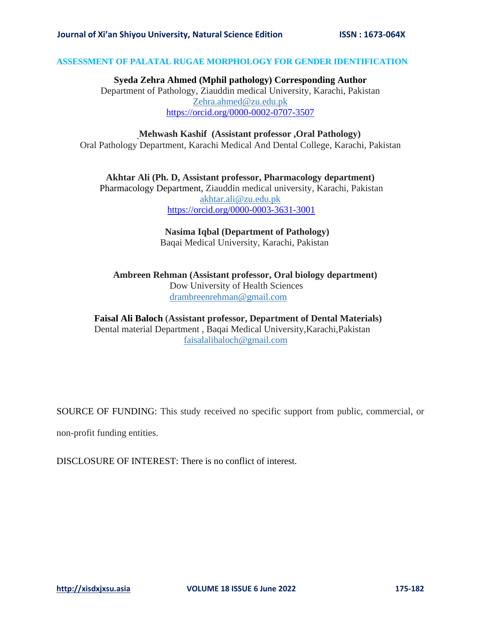## **ASSESSMENT OF PALATAL RUGAE MORPHOLOGY FOR GENDER IDENTIFICATION**

**Syeda Zehra Ahmed (Mphil pathology) Corresponding Author** Department of Pathology, Ziauddin medical University, Karachi, Pakistan [Zehra.ahmed@zu.edu.pk](mailto:Zehra.ahmed@zu.edu.pk) <https://orcid.org/0000-0002-0707-3507>

## **Mehwash Kashif (Assistant professor ,Oral Pathology)** Oral Pathology Department, Karachi Medical And Dental College, Karachi, Pakistan

**Akhtar Ali (Ph. D, Assistant professor, Pharmacology department)** Pharmacology Department, Ziauddin medical university, Karachi, Pakistan [akhtar.ali@zu.edu.pk](mailto:akhtar.ali@zu.edu.pk) <https://orcid.org/0000-0003-3631-3001>

## **Nasima Iqbal (Department of Pathology)** Baqai Medical University, Karachi, Pakistan

 **Ambreen Rehman (Assistant professor, Oral biology department)** Dow University of Health Sciences drambreenrehman@gmail.com

# **Faisal Ali Baloch** (**Assistant professor, Department of Dental Materials)** Dental material Department , Baqai Medical University,Karachi,Pakistan faisalalibaloch@gmail.com

SOURCE OF FUNDING: This study received no specific support from public, commercial, or

non-profit funding entities.

DISCLOSURE OF INTEREST: There is no conflict of interest.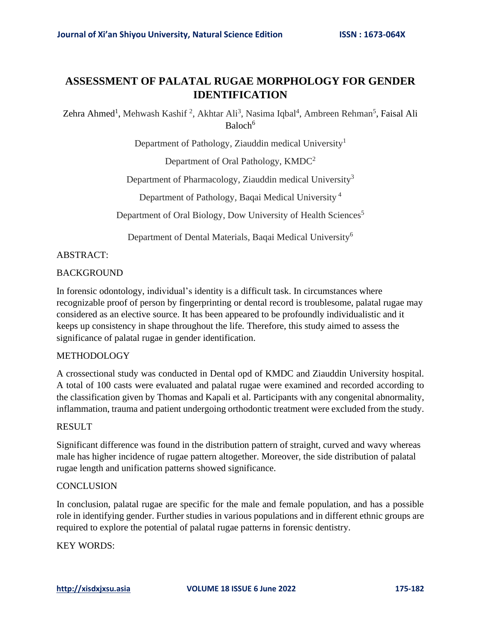# **ASSESSMENT OF PALATAL RUGAE MORPHOLOGY FOR GENDER IDENTIFICATION**

Zehra Ahmed<sup>1</sup>, Mehwash Kashif<sup>2</sup>, Akhtar Ali<sup>3</sup>, Nasima Iqbal<sup>4</sup>, Ambreen Rehman<sup>5</sup>, Faisal Ali Baloch<sup>6</sup>

Department of Pathology, Ziauddin medical University<sup>1</sup>

Department of Oral Pathology, KMDC<sup>2</sup>

Department of Pharmacology, Ziauddin medical University<sup>3</sup>

Department of Pathology, Baqai Medical University <sup>4</sup>

Department of Oral Biology, Dow University of Health Sciences<sup>5</sup>

Department of Dental Materials, Baqai Medical University<sup>6</sup>

# ABSTRACT:

# BACKGROUND

In forensic odontology, individual's identity is a difficult task. In circumstances where recognizable proof of person by fingerprinting or dental record is troublesome, palatal rugae may considered as an elective source. It has been appeared to be profoundly individualistic and it keeps up consistency in shape throughout the life. Therefore, this study aimed to assess the significance of palatal rugae in gender identification.

# METHODOLOGY

A crossectional study was conducted in Dental opd of KMDC and Ziauddin University hospital. A total of 100 casts were evaluated and palatal rugae were examined and recorded according to the classification given by Thomas and Kapali et al. Participants with any congenital abnormality, inflammation, trauma and patient undergoing orthodontic treatment were excluded from the study.

## RESULT

Significant difference was found in the distribution pattern of straight, curved and wavy whereas male has higher incidence of rugae pattern altogether. Moreover, the side distribution of palatal rugae length and unification patterns showed significance.

# **CONCLUSION**

In conclusion, palatal rugae are specific for the male and female population, and has a possible role in identifying gender. Further studies in various populations and in different ethnic groups are required to explore the potential of palatal rugae patterns in forensic dentistry.

KEY WORDS: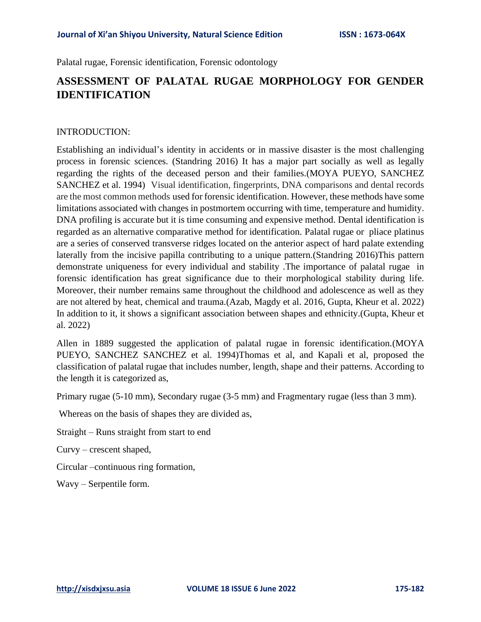Palatal rugae, Forensic identification, Forensic odontology

# **ASSESSMENT OF PALATAL RUGAE MORPHOLOGY FOR GENDER IDENTIFICATION**

## INTRODUCTION:

Establishing an individual's identity in accidents or in massive disaster is the most challenging process in forensic sciences. (Standring 2016) It has a major part socially as well as legally regarding the rights of the deceased person and their families.(MOYA PUEYO, SANCHEZ SANCHEZ et al. 1994) Visual identification, fingerprints, DNA comparisons and dental records are the most common methods used for forensic identification. However, these methods have some limitations associated with changes in postmortem occurring with time, temperature and humidity. DNA profiling is accurate but it is time consuming and expensive method. Dental identification is regarded as an alternative comparative method for identification. Palatal rugae or pliace platinus are a series of conserved transverse ridges located on the anterior aspect of hard palate extending laterally from the incisive papilla contributing to a unique pattern.(Standring 2016)This pattern demonstrate uniqueness for every individual and stability .The importance of palatal rugae in forensic identification has great significance due to their morphological stability during life. Moreover, their number remains same throughout the childhood and adolescence as well as they are not altered by heat, chemical and trauma.(Azab, Magdy et al. 2016, Gupta, Kheur et al. 2022) In addition to it, it shows a significant association between shapes and ethnicity.(Gupta, Kheur et al. 2022)

Allen in 1889 suggested the application of palatal rugae in forensic identification.(MOYA PUEYO, SANCHEZ SANCHEZ et al. 1994)Thomas et al, and Kapali et al, proposed the classification of palatal rugae that includes number, length, shape and their patterns. According to the length it is categorized as,

Primary rugae (5-10 mm), Secondary rugae (3-5 mm) and Fragmentary rugae (less than 3 mm).

Whereas on the basis of shapes they are divided as,

Straight – Runs straight from start to end

Curvy – crescent shaped,

Circular –continuous ring formation,

Wavy – Serpentile form.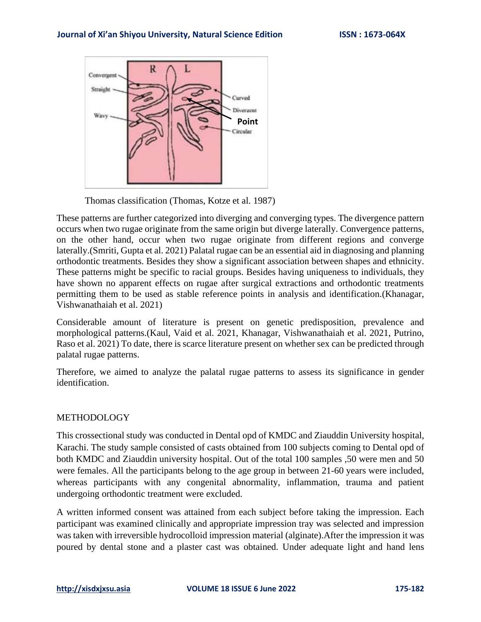

Thomas classification (Thomas, Kotze et al. 1987)

These patterns are further categorized into diverging and converging types. The divergence pattern occurs when two rugae originate from the same origin but diverge laterally. Convergence patterns, on the other hand, occur when two rugae originate from different regions and converge laterally.(Smriti, Gupta et al. 2021) Palatal rugae can be an essential aid in diagnosing and planning orthodontic treatments. Besides they show a significant association between shapes and ethnicity. These patterns might be specific to racial groups. Besides having uniqueness to individuals, they have shown no apparent effects on rugae after surgical extractions and orthodontic treatments permitting them to be used as stable reference points in analysis and identification.(Khanagar, Vishwanathaiah et al. 2021)

Considerable amount of literature is present on genetic predisposition, prevalence and morphological patterns.(Kaul, Vaid et al. 2021, Khanagar, Vishwanathaiah et al. 2021, Putrino, Raso et al. 2021) To date, there is scarce literature present on whether sex can be predicted through palatal rugae patterns.

Therefore, we aimed to analyze the palatal rugae patterns to assess its significance in gender identification.

## METHODOLOGY

This crossectional study was conducted in Dental opd of KMDC and Ziauddin University hospital, Karachi. The study sample consisted of casts obtained from 100 subjects coming to Dental opd of both KMDC and Ziauddin university hospital. Out of the total 100 samples ,50 were men and 50 were females. All the participants belong to the age group in between 21-60 years were included, whereas participants with any congenital abnormality, inflammation, trauma and patient undergoing orthodontic treatment were excluded.

A written informed consent was attained from each subject before taking the impression. Each participant was examined clinically and appropriate impression tray was selected and impression was taken with irreversible hydrocolloid impression material (alginate).After the impression it was poured by dental stone and a plaster cast was obtained. Under adequate light and hand lens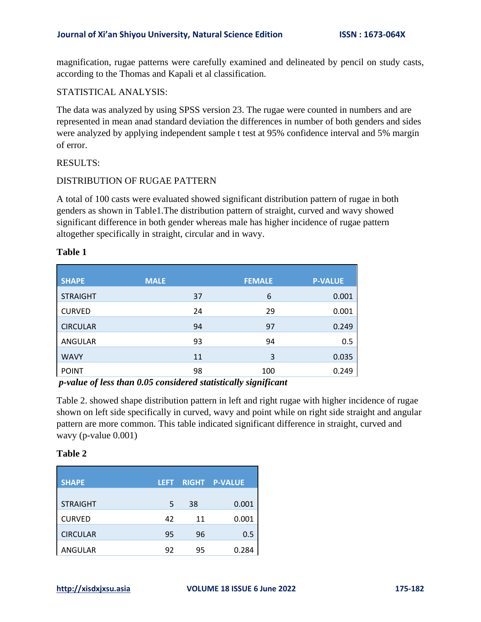magnification, rugae patterns were carefully examined and delineated by pencil on study casts, according to the Thomas and Kapali et al classification.

# STATISTICAL ANALYSIS:

The data was analyzed by using SPSS version 23. The rugae were counted in numbers and are represented in mean anad standard deviation the differences in number of both genders and sides were analyzed by applying independent sample t test at 95% confidence interval and 5% margin of error.

## RESULTS:

## DISTRIBUTION OF RUGAE PATTERN

A total of 100 casts were evaluated showed significant distribution pattern of rugae in both genders as shown in Table1.The distribution pattern of straight, curved and wavy showed significant difference in both gender whereas male has higher incidence of rugae pattern altogether specifically in straight, circular and in wavy.

| <b>SHAPE</b>    | <b>MALE</b> | <b>FEMALE</b> | <b>P-VALUE</b> |
|-----------------|-------------|---------------|----------------|
| <b>STRAIGHT</b> | 37          | 6             | 0.001          |
| <b>CURVED</b>   | 24          | 29            | 0.001          |
| <b>CIRCULAR</b> | 94          | 97            | 0.249          |
| ANGULAR         | 93          | 94            | 0.5            |
| <b>WAVY</b>     | 11          | 3             | 0.035          |
| <b>POINT</b>    | 98          | 100           | 0.249          |

# **Table 1**

*p-value of less than 0.05 considered statistically significant*

Table 2. showed shape distribution pattern in left and right rugae with higher incidence of rugae shown on left side specifically in curved, wavy and point while on right side straight and angular pattern are more common. This table indicated significant difference in straight, curved and wavy (p-value 0.001)

## **Table 2**

| <b>SHAPE</b>    | LEFT |    | <b>RIGHT P-VALUE</b> |  |
|-----------------|------|----|----------------------|--|
| <b>STRAIGHT</b> | 5    | 38 | 0.001                |  |
| <b>CURVED</b>   | 42   | 11 | 0.001                |  |
| <b>CIRCULAR</b> | 95   | 96 | 0.5                  |  |
| <b>ANGULAR</b>  | 92   | 95 | 0.284                |  |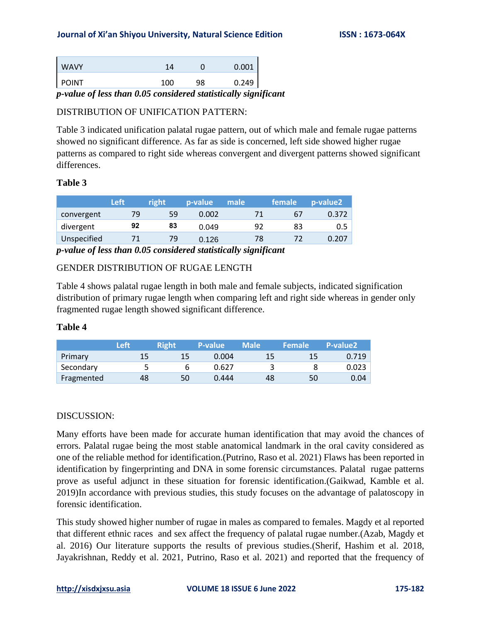# **Journal of Xi'an Shiyou University, Natural Science Edition ISSN : 1673-064X**

| <b>WAVY</b>  |     |   |     | 1⊿  |                       |               | 0.001 |
|--------------|-----|---|-----|-----|-----------------------|---------------|-------|
| <b>POINT</b> |     |   |     | 100 | 98                    |               | 0.249 |
| $\sim$       | - - | - | ___ | - - | $\tilde{\phantom{a}}$ | $\sim$ $\sim$ | $-$   |

*p-value of less than 0.05 considered statistically significant*

# DISTRIBUTION OF UNIFICATION PATTERN:

Table 3 indicated unification palatal rugae pattern, out of which male and female rugae patterns showed no significant difference. As far as side is concerned, left side showed higher rugae patterns as compared to right side whereas convergent and divergent patterns showed significant differences.

# **Table 3**

|             | Left | right | p-value | <b>male</b> | female | p-value <sub>2</sub> |
|-------------|------|-------|---------|-------------|--------|----------------------|
| convergent  | 79   | 59    | 0.002   |             | b/     | 0.372                |
| divergent   | 92   | 83    | 0.049   | 92          | 83     |                      |
| Unspecified |      | 79    | 0.126   | 78          |        | 0.207                |
|             |      |       |         |             |        |                      |

*p-value of less than 0.05 considered statistically significant*

# GENDER DISTRIBUTION OF RUGAE LENGTH

Table 4 shows palatal rugae length in both male and female subjects, indicated signification distribution of primary rugae length when comparing left and right side whereas in gender only fragmented rugae length showed significant difference.

## **Table 4**

|            | Left | <b>Right</b> | <b>P-value</b> | <b>Male</b> | <b>Female</b> ' | P-value <sub>2</sub> |
|------------|------|--------------|----------------|-------------|-----------------|----------------------|
| Primary    | 15   | 15           | 0.004          | 15          | 15              | 0.719                |
| Secondary  |      |              | 0.627          |             |                 | 0.023                |
| Fragmented | 48   | 50           | 0.444          | 48          | 50              | 0.04                 |

# DISCUSSION:

Many efforts have been made for accurate human identification that may avoid the chances of errors. Palatal rugae being the most stable anatomical landmark in the oral cavity considered as one of the reliable method for identification.(Putrino, Raso et al. 2021) Flaws has been reported in identification by fingerprinting and DNA in some forensic circumstances. Palatal rugae patterns prove as useful adjunct in these situation for forensic identification.(Gaikwad, Kamble et al. 2019)In accordance with previous studies, this study focuses on the advantage of palatoscopy in forensic identification.

This study showed higher number of rugae in males as compared to females. Magdy et al reported that different ethnic races and sex affect the frequency of palatal rugae number.(Azab, Magdy et al. 2016) Our literature supports the results of previous studies.(Sherif, Hashim et al. 2018, Jayakrishnan, Reddy et al. 2021, Putrino, Raso et al. 2021) and reported that the frequency of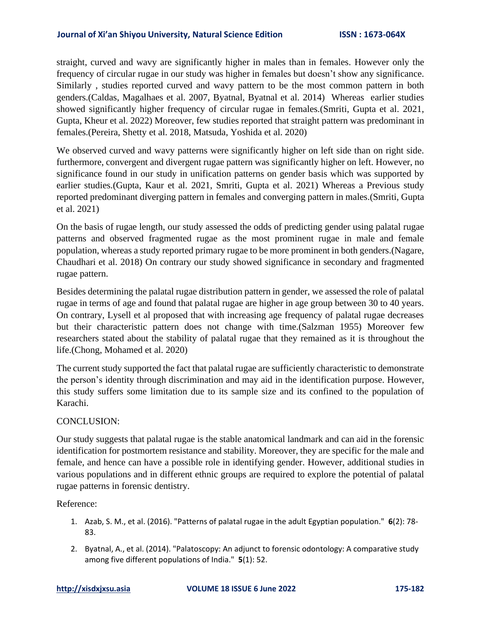## **Journal of Xi'an Shiyou University, Natural Science Edition ISSN : 1673-064X**

straight, curved and wavy are significantly higher in males than in females. However only the frequency of circular rugae in our study was higher in females but doesn't show any significance. Similarly , studies reported curved and wavy pattern to be the most common pattern in both genders.(Caldas, Magalhaes et al. 2007, Byatnal, Byatnal et al. 2014) Whereas earlier studies showed significantly higher frequency of circular rugae in females.(Smriti, Gupta et al. 2021, Gupta, Kheur et al. 2022) Moreover, few studies reported that straight pattern was predominant in females.(Pereira, Shetty et al. 2018, Matsuda, Yoshida et al. 2020)

We observed curved and wavy patterns were significantly higher on left side than on right side. furthermore, convergent and divergent rugae pattern was significantly higher on left. However, no significance found in our study in unification patterns on gender basis which was supported by earlier studies.(Gupta, Kaur et al. 2021, Smriti, Gupta et al. 2021) Whereas a Previous study reported predominant diverging pattern in females and converging pattern in males.(Smriti, Gupta et al. 2021)

On the basis of rugae length, our study assessed the odds of predicting gender using palatal rugae patterns and observed fragmented rugae as the most prominent rugae in male and female population, whereas a study reported primary rugae to be more prominent in both genders.(Nagare, Chaudhari et al. 2018) On contrary our study showed significance in secondary and fragmented rugae pattern.

Besides determining the palatal rugae distribution pattern in gender, we assessed the role of palatal rugae in terms of age and found that palatal rugae are higher in age group between 30 to 40 years. On contrary, Lysell et al proposed that with increasing age frequency of palatal rugae decreases but their characteristic pattern does not change with time.(Salzman 1955) Moreover few researchers stated about the stability of palatal rugae that they remained as it is throughout the life.(Chong, Mohamed et al. 2020)

The current study supported the fact that palatal rugae are sufficiently characteristic to demonstrate the person's identity through discrimination and may aid in the identification purpose. However, this study suffers some limitation due to its sample size and its confined to the population of Karachi.

# CONCLUSION:

Our study suggests that palatal rugae is the stable anatomical landmark and can aid in the forensic identification for postmortem resistance and stability. Moreover, they are specific for the male and female, and hence can have a possible role in identifying gender. However, additional studies in various populations and in different ethnic groups are required to explore the potential of palatal rugae patterns in forensic dentistry.

## Reference:

- 1. Azab, S. M., et al. (2016). "Patterns of palatal rugae in the adult Egyptian population." **6**(2): 78- 83.
- 2. Byatnal, A., et al. (2014). "Palatoscopy: An adjunct to forensic odontology: A comparative study among five different populations of India." **5**(1): 52.